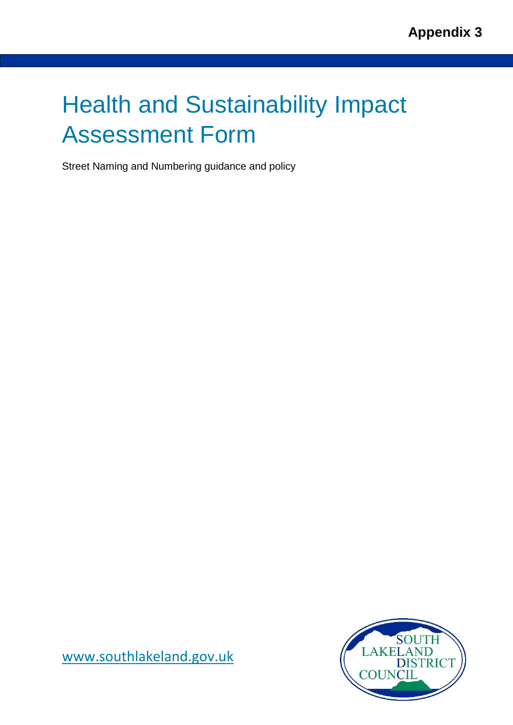# Health and Sustainability Impact Assessment Form

Street Naming and Numbering guidance and policy



[www.southlakeland.gov.uk](http://www.southlakeland.gov.uk/)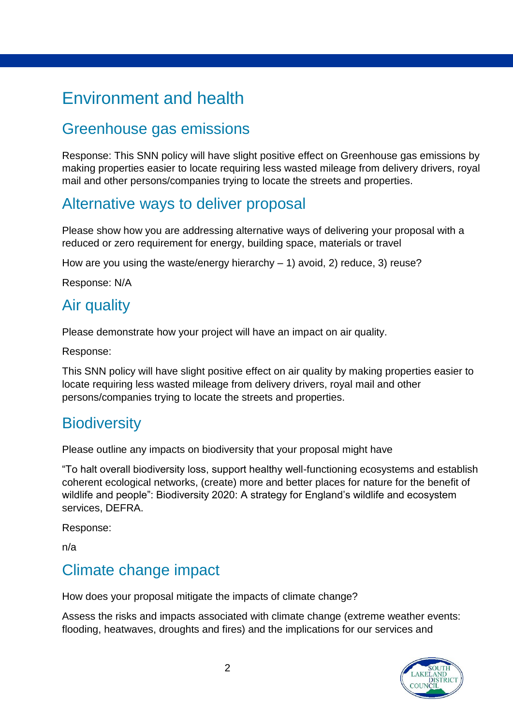# Environment and health

### Greenhouse gas emissions

Response: This SNN policy will have slight positive effect on Greenhouse gas emissions by making properties easier to locate requiring less wasted mileage from delivery drivers, royal mail and other persons/companies trying to locate the streets and properties.

#### Alternative ways to deliver proposal

Please show how you are addressing alternative ways of delivering your proposal with a reduced or zero requirement for energy, building space, materials or travel

How are you using the waste/energy hierarchy  $-1$ ) avoid, 2) reduce, 3) reuse?

Response: N/A

#### Air quality

Please demonstrate how your project will have an impact on air quality.

Response:

This SNN policy will have slight positive effect on air quality by making properties easier to locate requiring less wasted mileage from delivery drivers, royal mail and other persons/companies trying to locate the streets and properties.

### **Biodiversity**

Please outline any impacts on biodiversity that your proposal might have

"To halt overall biodiversity loss, support healthy well-functioning ecosystems and establish coherent ecological networks, (create) more and better places for nature for the benefit of wildlife and people": Biodiversity 2020: A strategy for England's wildlife and ecosystem services, DEFRA.

Response:

n/a

### Climate change impact

How does your proposal mitigate the impacts of climate change?

Assess the risks and impacts associated with climate change (extreme weather events: flooding, heatwaves, droughts and fires) and the implications for our services and

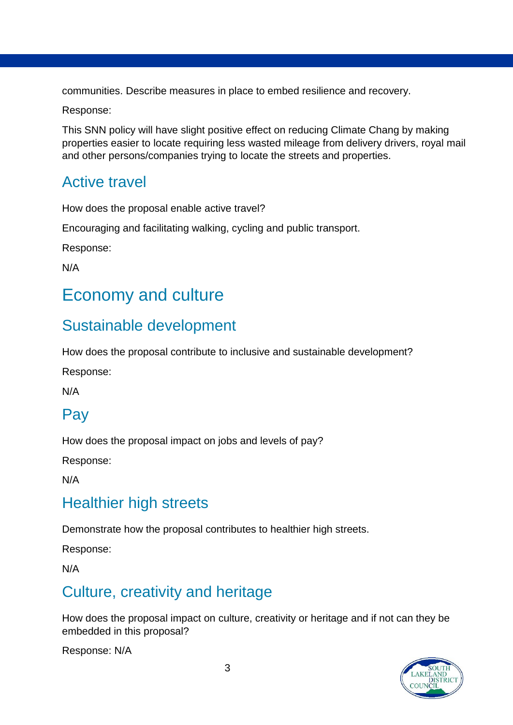communities. Describe measures in place to embed resilience and recovery.

Response:

This SNN policy will have slight positive effect on reducing Climate Chang by making properties easier to locate requiring less wasted mileage from delivery drivers, royal mail and other persons/companies trying to locate the streets and properties.

### Active travel

How does the proposal enable active travel?

Encouraging and facilitating walking, cycling and public transport.

Response:

N/A

### Economy and culture

### Sustainable development

How does the proposal contribute to inclusive and sustainable development?

Response:

N/A

### Pay

How does the proposal impact on jobs and levels of pay?

Response:

N/A

### Healthier high streets

Demonstrate how the proposal contributes to healthier high streets.

Response:

N/A

### Culture, creativity and heritage

How does the proposal impact on culture, creativity or heritage and if not can they be embedded in this proposal?

Response: N/A

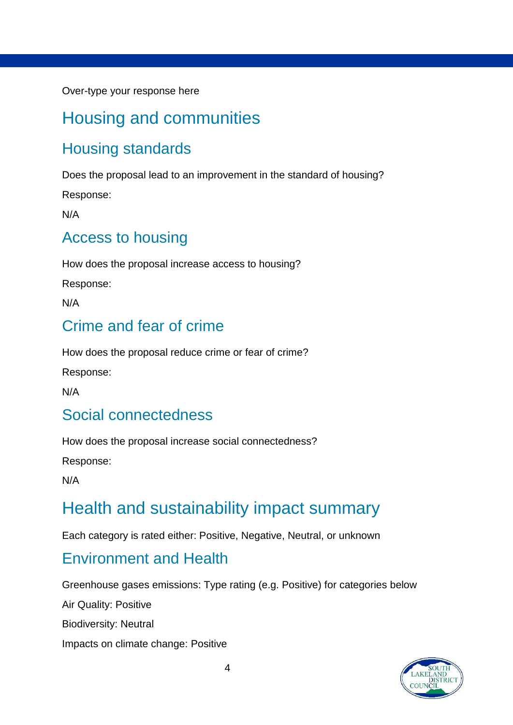Over-type your response here

### Housing and communities

### Housing standards

Does the proposal lead to an improvement in the standard of housing?

Response:

N/A

#### Access to housing

How does the proposal increase access to housing?

Response:

N/A

### Crime and fear of crime

How does the proposal reduce crime or fear of crime?

Response:

N/A

### Social connectedness

How does the proposal increase social connectedness?

Response:

N/A

### Health and sustainability impact summary

Each category is rated either: Positive, Negative, Neutral, or unknown

#### Environment and Health

Greenhouse gases emissions: Type rating (e.g. Positive) for categories below

Air Quality: Positive

Biodiversity: Neutral

Impacts on climate change: Positive

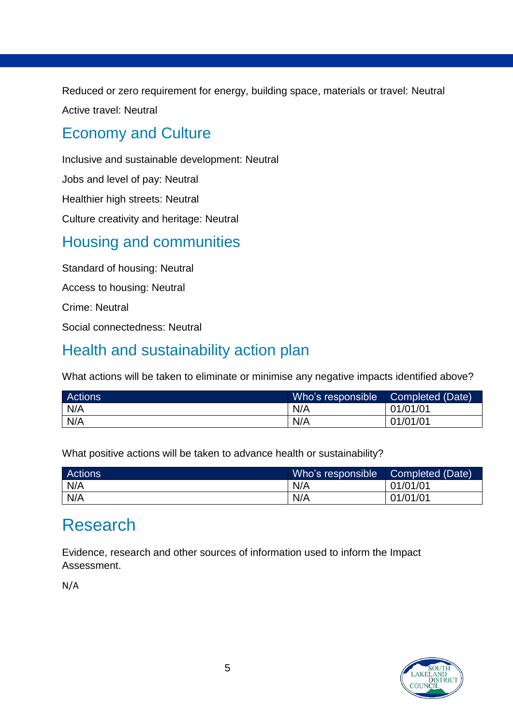Reduced or zero requirement for energy, building space, materials or travel: Neutral Active travel: Neutral

### Economy and Culture

Inclusive and sustainable development: Neutral Jobs and level of pay: Neutral Healthier high streets: Neutral Culture creativity and heritage: Neutral

### Housing and communities

Standard of housing: Neutral Access to housing: Neutral Crime: Neutral Social connectedness: Neutral

### Health and sustainability action plan

What actions will be taken to eliminate or minimise any negative impacts identified above?

| <b>Actions</b> | Who's responsible | Completed (Date) |
|----------------|-------------------|------------------|
| N/A            | N/A               | 01/01/01         |
| N/A            | N/A               | 01/01/01         |

What positive actions will be taken to advance health or sustainability?

| <b>Actions</b> | Who's responsible | Completed (Date) |
|----------------|-------------------|------------------|
| N/A            | N/A               | 01/01/01         |
| N/A            | N/A               | 01/01/01         |

### Research

Evidence, research and other sources of information used to inform the Impact Assessment.

N/A